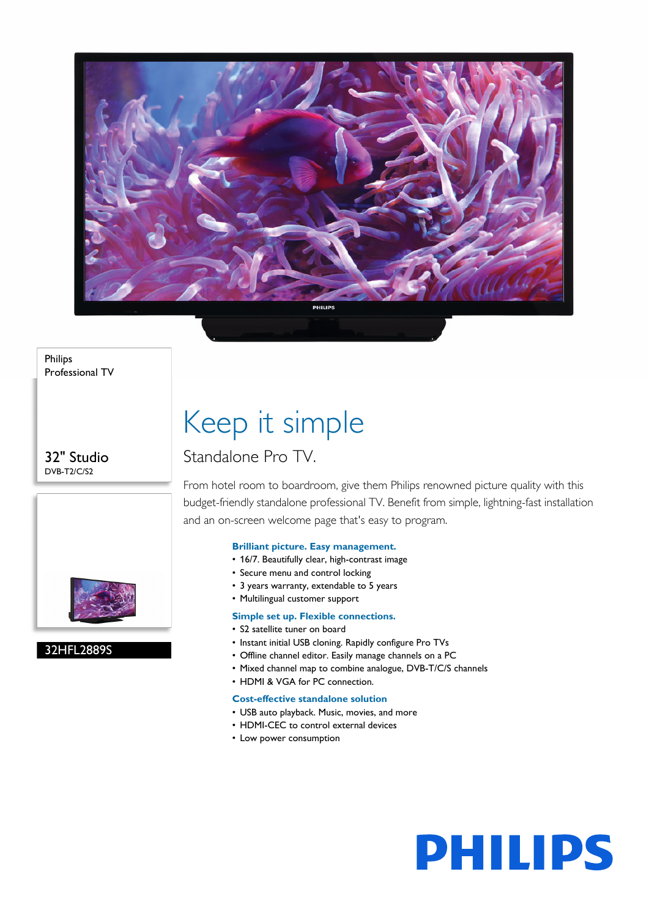

Philips Professional TV

32" Studio DVB-T2/C/S2



32HFL2889S

## Keep it simple

### Standalone Pro TV.

From hotel room to boardroom, give them Philips renowned picture quality with this budget-friendly standalone professional TV. Benefit from simple, lightning-fast installation and an on-screen welcome page that's easy to program.

#### **Brilliant picture. Easy management.**

- 16/7. Beautifully clear, high-contrast image
- Secure menu and control locking
- 3 years warranty, extendable to 5 years
- Multilingual customer support

#### **Simple set up. Flexible connections.**

- S2 satellite tuner on board
- Instant initial USB cloning. Rapidly configure Pro TVs
- Offline channel editor. Easily manage channels on a PC
- Mixed channel map to combine analogue, DVB-T/C/S channels
- HDMI & VGA for PC connection.

#### **Cost-effective standalone solution**

- USB auto playback. Music, movies, and more
- HDMI-CEC to control external devices
- Low power consumption

# **PHILIPS**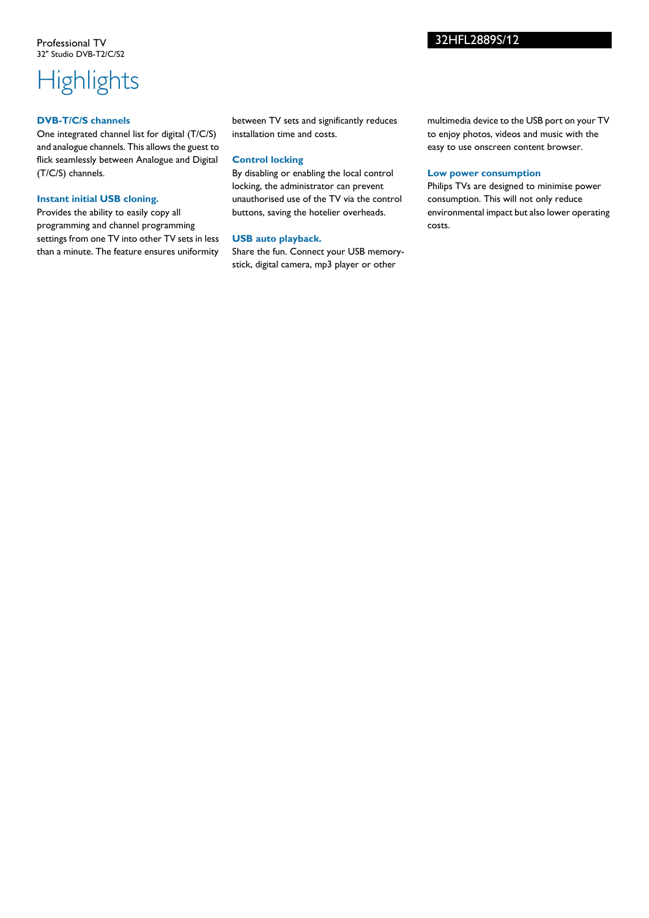## **Highlights**

#### **DVB-T/C/S channels**

One integrated channel list for digital (T/C/S) and analogue channels. This allows the guest to flick seamlessly between Analogue and Digital (T/C/S) channels.

#### **Instant initial USB cloning.**

Provides the ability to easily copy all programming and channel programming settings from one TV into other TV sets in less than a minute. The feature ensures uniformity

between TV sets and significantly reduces installation time and costs.

#### **Control locking**

By disabling or enabling the local control locking, the administrator can prevent unauthorised use of the TV via the control buttons, saving the hotelier overheads.

#### **USB auto playback.**

Share the fun. Connect your USB memorystick, digital camera, mp3 player or other

multimedia device to the USB port on your TV to enjoy photos, videos and music with the easy to use onscreen content browser.

#### **Low power consumption**

Philips TVs are designed to minimise power consumption. This will not only reduce environmental impact but also lower operating costs.

#### 32HFL2889S/12